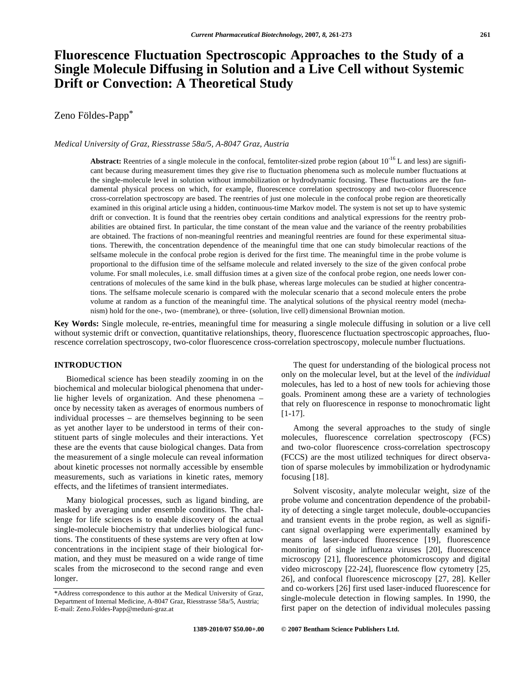# **Fluorescence Fluctuation Spectroscopic Approaches to the Study of a Single Molecule Diffusing in Solution and a Live Cell without Systemic Drift or Convection: A Theoretical Study**

Zeno Földes-Papp\*

*Medical University of Graz, Riesstrasse 58a/5, A-8047 Graz, Austria* 

**Abstract:** Reentries of a single molecule in the confocal, femtoliter-sized probe region (about  $10^{-16}$  L and less) are significant because during measurement times they give rise to fluctuation phenomena such as molecule number fluctuations at the single-molecule level in solution without immobilization or hydrodynamic focusing. These fluctuations are the fundamental physical process on which, for example, fluorescence correlation spectroscopy and two-color fluorescence cross-correlation spectroscopy are based. The reentries of just one molecule in the confocal probe region are theoretically examined in this original article using a hidden, continuous-time Markov model. The system is not set up to have systemic drift or convection. It is found that the reentries obey certain conditions and analytical expressions for the reentry probabilities are obtained first. In particular, the time constant of the mean value and the variance of the reentry probabilities are obtained. The fractions of non-meaningful reentries and meaningful reentries are found for these experimental situations. Therewith, the concentration dependence of the meaningful time that one can study bimolecular reactions of the selfsame molecule in the confocal probe region is derived for the first time. The meaningful time in the probe volume is proportional to the diffusion time of the selfsame molecule and related inversely to the size of the given confocal probe volume. For small molecules, i.e. small diffusion times at a given size of the confocal probe region, one needs lower concentrations of molecules of the same kind in the bulk phase, whereas large molecules can be studied at higher concentrations. The selfsame molecule scenario is compared with the molecular scenario that a second molecule enters the probe volume at random as a function of the meaningful time. The analytical solutions of the physical reentry model (mechanism) hold for the one-, two- (membrane), or three- (solution, live cell) dimensional Brownian motion.

**Key Words:** Single molecule, re-entries, meaningful time for measuring a single molecule diffusing in solution or a live cell without systemic drift or convection, quantitative relationships, theory, fluorescence fluctuation spectroscopic approaches, fluorescence correlation spectroscopy, two-color fluorescence cross-correlation spectroscopy, molecule number fluctuations.

## **INTRODUCTION**

 Biomedical science has been steadily zooming in on the biochemical and molecular biological phenomena that underlie higher levels of organization. And these phenomena – once by necessity taken as averages of enormous numbers of individual processes – are themselves beginning to be seen as yet another layer to be understood in terms of their constituent parts of single molecules and their interactions. Yet these are the events that cause biological changes. Data from the measurement of a single molecule can reveal information about kinetic processes not normally accessible by ensemble measurements, such as variations in kinetic rates, memory effects, and the lifetimes of transient intermediates.

 Many biological processes, such as ligand binding, are masked by averaging under ensemble conditions. The challenge for life sciences is to enable discovery of the actual single-molecule biochemistry that underlies biological functions. The constituents of these systems are very often at low concentrations in the incipient stage of their biological formation, and they must be measured on a wide range of time scales from the microsecond to the second range and even longer.

 The quest for understanding of the biological process not only on the molecular level, but at the level of the *individual* molecules, has led to a host of new tools for achieving those goals. Prominent among these are a variety of technologies that rely on fluorescence in response to monochromatic light [1-17].

 Among the several approaches to the study of single molecules, fluorescence correlation spectroscopy (FCS) and two-color fluorescence cross-correlation spectroscopy (FCCS) are the most utilized techniques for direct observation of sparse molecules by immobilization or hydrodynamic focusing [18].

 Solvent viscosity, analyte molecular weight, size of the probe volume and concentration dependence of the probability of detecting a single target molecule, double-occupancies and transient events in the probe region, as well as significant signal overlapping were experimentally examined by means of laser-induced fluorescence [19], fluorescence monitoring of single influenza viruses [20], fluorescence microscopy [21], fluorescence photomicroscopy and digital video microscopy [22-24], fluorescence flow cytometry [25, 26], and confocal fluorescence microscopy [27, 28]. Keller and co-workers [26] first used laser-induced fluorescence for single-molecule detection in flowing samples. In 1990, the first paper on the detection of individual molecules passing

<sup>\*</sup>Address correspondence to this author at the Medical University of Graz, Department of Internal Medicine, A-8047 Graz, Riesstrasse 58a/5, Austria; E-mail: Zeno.Foldes-Papp@meduni-graz.at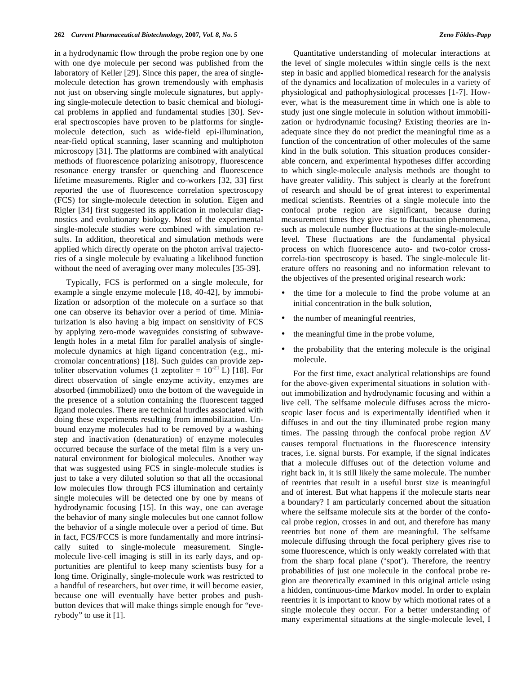in a hydrodynamic flow through the probe region one by one with one dye molecule per second was published from the laboratory of Keller [29]. Since this paper, the area of singlemolecule detection has grown tremendously with emphasis not just on observing single molecule signatures, but applying single-molecule detection to basic chemical and biological problems in applied and fundamental studies [30]. Several spectroscopies have proven to be platforms for singlemolecule detection, such as wide-field epi-illumination, near-field optical scanning, laser scanning and multiphoton microscopy [31]. The platforms are combined with analytical methods of fluorescence polarizing anisotropy, fluorescence resonance energy transfer or quenching and fluorescence lifetime measurements. Rigler and co-workers [32, 33] first reported the use of fluorescence correlation spectroscopy (FCS) for single-molecule detection in solution. Eigen and Rigler [34] first suggested its application in molecular diagnostics and evolutionary biology. Most of the experimental single-molecule studies were combined with simulation results. In addition, theoretical and simulation methods were applied which directly operate on the photon arrival trajectories of a single molecule by evaluating a likelihood function without the need of averaging over many molecules [35-39].

 Typically, FCS is performed on a single molecule, for example a single enzyme molecule [18, 40-42], by immobilization or adsorption of the molecule on a surface so that one can observe its behavior over a period of time. Miniaturization is also having a big impact on sensitivity of FCS by applying zero-mode waveguides consisting of subwavelength holes in a metal film for parallel analysis of singlemolecule dynamics at high ligand concentration (e.g., micromolar concentrations) [18]. Such guides can provide zeptoliter observation volumes (1 zeptoliter =  $10^{-21}$  L) [18]. For direct observation of single enzyme activity, enzymes are absorbed (immobilized) onto the bottom of the waveguide in the presence of a solution containing the fluorescent tagged ligand molecules. There are technical hurdles associated with doing these experiments resulting from immobilization. Unbound enzyme molecules had to be removed by a washing step and inactivation (denaturation) of enzyme molecules occurred because the surface of the metal film is a very unnatural environment for biological molecules. Another way that was suggested using FCS in single-molecule studies is just to take a very diluted solution so that all the occasional low molecules flow through FCS illumination and certainly single molecules will be detected one by one by means of hydrodynamic focusing [15]. In this way, one can average the behavior of many single molecules but one cannot follow the behavior of a single molecule over a period of time. But in fact, FCS/FCCS is more fundamentally and more intrinsically suited to single-molecule measurement. Singlemolecule live-cell imaging is still in its early days, and opportunities are plentiful to keep many scientists busy for a long time. Originally, single-molecule work was restricted to a handful of researchers, but over time, it will become easier, because one will eventually have better probes and pushbutton devices that will make things simple enough for "everybody" to use it [1].

 Quantitative understanding of molecular interactions at the level of single molecules within single cells is the next step in basic and applied biomedical research for the analysis of the dynamics and localization of molecules in a variety of physiological and pathophysiological processes [1-7]. However, what is the measurement time in which one is able to study just one single molecule in solution without immobilization or hydrodynamic focusing? Existing theories are inadequate since they do not predict the meaningful time as a function of the concentration of other molecules of the same kind in the bulk solution. This situation produces considerable concern, and experimental hypotheses differ according to which single-molecule analysis methods are thought to have greater validity. This subject is clearly at the forefront of research and should be of great interest to experimental medical scientists. Reentries of a single molecule into the confocal probe region are significant, because during measurement times they give rise to fluctuation phenomena, such as molecule number fluctuations at the single-molecule level. These fluctuations are the fundamental physical process on which fluorescence auto- and two-color crosscorrela-tion spectroscopy is based. The single-molecule literature offers no reasoning and no information relevant to the objectives of the presented original research work:

- the time for a molecule to find the probe volume at an initial concentration in the bulk solution,
- the number of meaningful reentries,
- the meaningful time in the probe volume,
- the probability that the entering molecule is the original molecule.

 For the first time, exact analytical relationships are found for the above-given experimental situations in solution without immobilization and hydrodynamic focusing and within a live cell. The selfsame molecule diffuses across the microscopic laser focus and is experimentally identified when it diffuses in and out the tiny illuminated probe region many times. The passing through the confocal probe region  $\Delta V$ causes temporal fluctuations in the fluorescence intensity traces, i.e. signal bursts. For example, if the signal indicates that a molecule diffuses out of the detection volume and right back in, it is still likely the same molecule. The number of reentries that result in a useful burst size is meaningful and of interest. But what happens if the molecule starts near a boundary? I am particularly concerned about the situation where the selfsame molecule sits at the border of the confocal probe region, crosses in and out, and therefore has many reentries but none of them are meaningful. The selfsame molecule diffusing through the focal periphery gives rise to some fluorescence, which is only weakly correlated with that from the sharp focal plane ('spot'). Therefore, the reentry probabilities of just one molecule in the confocal probe region are theoretically examined in this original article using a hidden, continuous-time Markov model. In order to explain reentries it is important to know by which motional rates of a single molecule they occur. For a better understanding of many experimental situations at the single-molecule level, I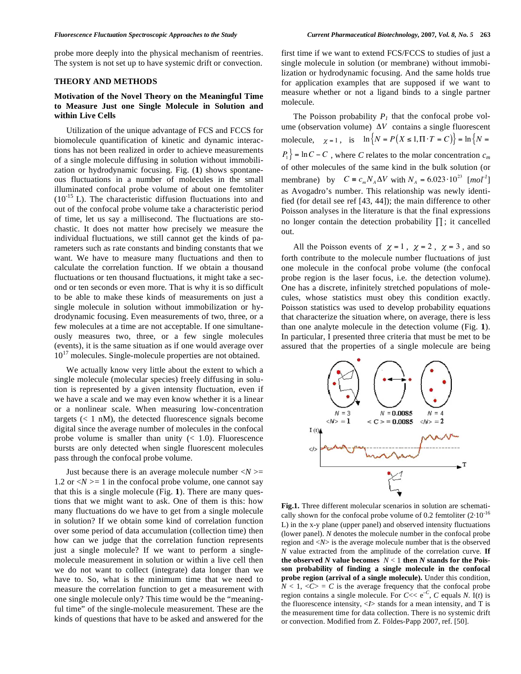probe more deeply into the physical mechanism of reentries. The system is not set up to have systemic drift or convection.

#### **THEORY AND METHODS**

### **Motivation of the Novel Theory on the Meaningful Time to Measure Just one Single Molecule in Solution and within Live Cells**

 Utilization of the unique advantage of FCS and FCCS for biomolecule quantification of kinetic and dynamic interactions has not been realized in order to achieve measurements of a single molecule diffusing in solution without immobilization or hydrodynamic focusing. Fig. (**1**) shows spontaneous fluctuations in a number of molecules in the small illuminated confocal probe volume of about one femtoliter  $(10^{-15}$  L). The characteristic diffusion fluctuations into and out of the confocal probe volume take a characteristic period of time, let us say a millisecond. The fluctuations are stochastic. It does not matter how precisely we measure the individual fluctuations, we still cannot get the kinds of parameters such as rate constants and binding constants that we want. We have to measure many fluctuations and then to calculate the correlation function. If we obtain a thousand fluctuations or ten thousand fluctuations, it might take a second or ten seconds or even more. That is why it is so difficult to be able to make these kinds of measurements on just a single molecule in solution without immobilization or hydrodynamic focusing. Even measurements of two, three, or a few molecules at a time are not acceptable. If one simultaneously measures two, three, or a few single molecules (events), it is the same situation as if one would average over  $10^{17}$  molecules. Single-molecule properties are not obtained.

 We actually know very little about the extent to which a single molecule (molecular species) freely diffusing in solution is represented by a given intensity fluctuation, even if we have a scale and we may even know whether it is a linear or a nonlinear scale. When measuring low-concentration targets  $(< 1 \text{ nM})$ , the detected fluorescence signals become digital since the average number of molecules in the confocal probe volume is smaller than unity  $\ll 1.0$ ). Fluorescence bursts are only detected when single fluorescent molecules pass through the confocal probe volume.

Just because there is an average molecule number  $\langle N \rangle$ = 1.2 or  $\langle N \rangle$  = 1 in the confocal probe volume, one cannot say that this is a single molecule (Fig. **1**). There are many questions that we might want to ask. One of them is this: how many fluctuations do we have to get from a single molecule in solution? If we obtain some kind of correlation function over some period of data accumulation (collection time) then how can we judge that the correlation function represents just a single molecule? If we want to perform a singlemolecule measurement in solution or within a live cell then we do not want to collect (integrate) data longer than we have to. So, what is the minimum time that we need to measure the correlation function to get a measurement with one single molecule only? This time would be the "meaningful time" of the single-molecule measurement. These are the kinds of questions that have to be asked and answered for the first time if we want to extend FCS/FCCS to studies of just a single molecule in solution (or membrane) without immobilization or hydrodynamic focusing. And the same holds true for application examples that are supposed if we want to measure whether or not a ligand binds to a single partner molecule.

The Poisson probability  $P_1$  that the confocal probe volume (observation volume)  $\Delta V$  contains a single fluorescent molecule,  $\chi = 1$ , is  $\ln \{ N = P(X \le 1, \Pi \cdot T = C) \} = \ln \{ N =$  $P_1$ } = ln *C* – *C*, where *C* relates to the molar concentration  $c_m$ of other molecules of the same kind in the bulk solution (or membrane) by  $C = c_m N_A \Delta V$  with  $N_A = 6.023 \cdot 10^{23}$  [*mol<sup>-1</sup>*] as Avogadro's number. This relationship was newly identified (for detail see ref [43, 44]); the main difference to other Poisson analyses in the literature is that the final expressions no longer contain the detection probability  $\prod$ ; it cancelled out.

All the Poisson events of  $\chi = 1$ ,  $\chi = 2$ ,  $\chi = 3$ , and so forth contribute to the molecule number fluctuations of just one molecule in the confocal probe volume (the confocal probe region is the laser focus, i.e. the detection volume). One has a discrete, infinitely stretched populations of molecules, whose statistics must obey this condition exactly. Poisson statistics was used to develop probability equations that characterize the situation where, on average, there is less than one analyte molecule in the detection volume (Fig. **1**). In particular, I presented three criteria that must be met to be assured that the properties of a single molecule are being



**Fig.1.** Three different molecular scenarios in solution are schematically shown for the confocal probe volume of 0.2 femtoliter  $(2 \cdot 10^{-16})$ L) in the x-y plane (upper panel) and observed intensity fluctuations (lower panel). *N* denotes the molecule number in the confocal probe region and <*N*> is the average molecule number that is the observed *N* value extracted from the amplitude of the correlation curve. **If**  the observed  $N$  value becomes  $N < 1$  then  $N$  stands for the Pois**son probability of finding a single molecule in the confocal probe region (arrival of a single molecule).** Under this condition,  $N < 1, \langle C \rangle = C$  is the average frequency that the confocal probe region contains a single molecule. For  $C \ll e^{-C}$ , *C* equals *N*. I(*t*) is the fluorescence intensity,  $\langle I \rangle$  stands for a mean intensity, and T is the measurement time for data collection. There is no systemic drift or convection. Modified from Z. Földes-Papp 2007, ref. [50].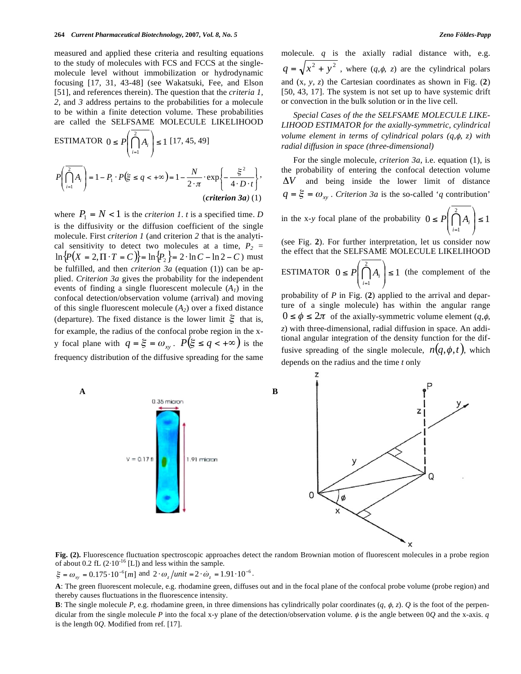measured and applied these criteria and resulting equations to the study of molecules with FCS and FCCS at the singlemolecule level without immobilization or hydrodynamic focusing [17, 31, 43-48] (see Wakatsuki, Fee, and Elson [51], and references therein). The question that the *criteria 1, 2,* and *3* address pertains to the probabilities for a molecule to be within a finite detection volume. These probabilities are called the SELFSAME MOLECULE LIKELIHOOD

ESTIMATOR 
$$
0 \le P\left(\bigcap_{i=1}^{2} A_i\right) \le 1
$$
 [17, 45, 49]  

$$
P\left(\bigcap_{i=1}^{2} A_i\right) = 1 - P_1 \cdot P\left(\xi \le q < +\infty\right) = 1 - \frac{N}{2 \cdot \pi} \cdot \exp\left\{-\frac{\xi^2}{4 \cdot D \cdot t}\right\},\
$$
(*orientation 3a*) (1)

where  $P_1 = N < 1$  is the *criterion 1. t* is a specified time. *D* is the diffusivity or the diffusion coefficient of the single molecule. First *criterion 1* (and criterion *2* that is the analytical sensitivity to detect two molecules at a time,  $P_2$  =  $\ln \{ P(X = 2, \Pi \cdot T = C) \} = \ln \{ P_2 \} = 2 \cdot \ln C - \ln 2 - C$  must be fulfilled, and then *criterion 3a* (equation (1)) can be applied. *Criterion 3a* gives the probability for the independent events of finding a single fluorescent molecule  $(A<sub>1</sub>)$  in the confocal detection/observation volume (arrival) and moving of this single fluorescent molecule (*A2*) over a fixed distance (departure). The fixed distance is the lower limit  $\xi$  that is, for example, the radius of the confocal probe region in the xy focal plane with  $q = \xi = \omega_{xy}$ .  $P(\xi \le q < +\infty)$  is the frequency distribution of the diffusive spreading for the same

molecule. *q* is the axially radial distance with, e.g.  $q = \sqrt{x^2 + y^2}$ , where  $(q, \phi, z)$  are the cylindrical polars and (x*, y, z*) the Cartesian coordinates as shown in Fig. (**2**) [50, 43, 17]. The system is not set up to have systemic drift or convection in the bulk solution or in the live cell.

*Special Cases of the the SELFSAME MOLECULE LIKE-LIHOOD ESTIMATOR for the axially-symmetric, cylindrical volume element in terms of cylindrical polars (q,* $\phi$ *, z) with radial diffusion in space (three-dimensional)* 

 For the single molecule, *criterion 3a*, i.e. equation (1), is the probability of entering the confocal detection volume  $\Delta V$  and being inside the lower limit of distance  $q = \xi = \omega_{xy}$ . *Criterion 3a* is the so-called '*q* contribution' in the x-*y* focal plane of the probability  $0 \le P\left(\bigcap_{i=1}^{n} A_i\right) \le 1$ 1  $\vert$   $\leq$  $\overline{\phantom{a}}$ Į Í l  $\leq P\left(\bigcap_{i=1}^{n} A_i\right)$ ∖ = *i*

(see Fig. **2**). For further interpretation, let us consider now the effect that the SELFSAME MOLECULE LIKELIHOOD

ESTIMATOR 
$$
0 \le P\left(\bigcap_{i=1}^{2} A_i\right) \le 1
$$
 (the complement of the

probability of *P* in Fig. (**2**) applied to the arrival and departure of a single molecule) has within the angular range  $0 \le \phi \le 2\pi$  of the axially-symmetric volume element  $(q, \phi, \phi)$ *z*) with three-dimensional, radial diffusion in space. An additional angular integration of the density function for the diffusive spreading of the single molecule,  $n(q, \phi, t)$ , which depends on the radius and the time *t* only



**Fig. (2).** Fluorescence fluctuation spectroscopic approaches detect the random Brownian motion of fluorescent molecules in a probe region of about 0.2 fL  $(2.10^{-16}$  [L]) and less within the sample.

 $\xi = \omega_{xy} = 0.175 \cdot 10^{-6} [m]$  and  $2 \cdot \omega_z / unit = 2 \cdot \dot{\omega}_z = 1.91 \cdot 10^{-6}$ .

**A**: The green fluorescent molecule, e.g. rhodamine green, diffuses out and in the focal plane of the confocal probe volume (probe region) and thereby causes fluctuations in the fluorescence intensity.

**B**: The single molecule *P*, e.g. rhodamine green, in three dimensions has cylindrically polar coordinates  $(q, \phi, z)$ . *Q* is the foot of the perpendicular from the single molecule *P* into the focal x-y plane of the detection/observation volume.  $\phi$  is the angle between 0*Q* and the x-axis. *q* is the length 0*Q*. Modified from ref. [17].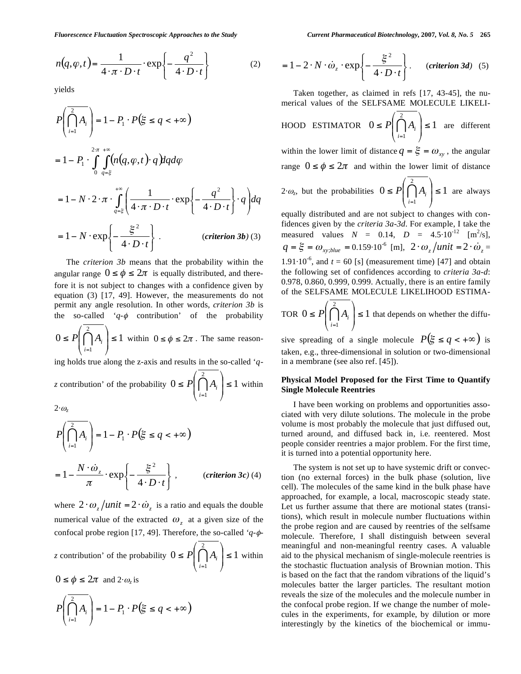*Fluorescence Fluctuation Spectroscopic Approaches to the Study Current Pharmaceutical Biotechnology,* **2007***, Vol. 8, No. 5* **265**

$$
n(q, \varphi, t) = \frac{1}{4 \cdot \pi \cdot D \cdot t} \cdot \exp\left\{-\frac{q^2}{4 \cdot D \cdot t}\right\}
$$
 (2)

yields

$$
P\left(\bigcap_{i=1}^{2}\overline{A_{i}}\right) = 1 - P_{1} \cdot P(\xi \leq q < +\infty)
$$
  
\n
$$
= 1 - P_{1} \cdot \int_{0}^{2\pi} \int_{q=\xi}^{+\infty} (n(q,\varphi,t) \cdot q) dq d\varphi
$$
  
\n
$$
= 1 - N \cdot 2 \cdot \pi \cdot \int_{q=\xi}^{+\infty} \left(\frac{1}{4 \cdot \pi \cdot D \cdot t} \cdot \exp\left\{-\frac{q^{2}}{4 \cdot D \cdot t}\right\} \cdot q\right) dq
$$
  
\n
$$
= 1 - N \cdot \exp\left\{-\frac{\xi^{2}}{4 \cdot D \cdot t}\right\}.
$$
 (criterion 3b) (3)

 The *criterion 3b* means that the probability within the angular range  $0 \le \phi \le 2\pi$  is equally distributed, and therefore it is not subject to changes with a confidence given by equation (3) [17, 49]. However, the measurements do not permit any angle resolution. In other words, *criterion 3b* is the so-called ' $q-\phi$  contribution' of the probability  $0 \leq P \cap A_i \leq 1$ 2  $\left| A_i \right| \le$  $\backslash$ I  $\mathbf{I}$  $\leq P\left(\right)$  $\bigcap_{i=1}$  $P\bigcap_{i=1}^n A_i$   $\leq 1$  within  $0 \leq \phi \leq 2\pi$ . The same reason-

Į  $\backslash$ ing holds true along the z-axis and results in the so-called '*qz* contribution' of the probability  $0 \leq P \cap A_i$ ,  $| \leq 1$ 2  $\left|A_i\right| \leq$ Į  $\backslash$ l I ∖  $\leq P\left(\right)$  $\bigcap_{i=1}$  $P[\bigcap A_i \mid \leq 1 \text{ within}]$ 

 $2 \cdot \omega_z$ 

$$
P\left(\overline{\bigcap_{i=1}^{2} A_{i}}\right) = 1 - P_{1} \cdot P\left(\xi \le q < +\infty\right)
$$
  
=  $1 - \frac{N \cdot \dot{\omega}_{z}}{\pi} \cdot \exp\left\{-\frac{\xi^{2}}{4 \cdot D \cdot t}\right\},$  (criterion 3c) (4)

where  $2 \cdot \omega_z / unit = 2 \cdot \dot{\omega}_z$  is a ratio and equals the double numerical value of the extracted  $\omega_z$  at a given size of the confocal probe region [17, 49]. Therefore, the so-called *'q- z* contribution' of the probability  $0 \leq P \cap A_i$   $\leq 1$ 2  $\backslash$ I  $\leq P\left(\right)$ 

 $\left|A_i\right| \leq$ Į l ∖  $\bigcap_{i=1}$  $P\bigcap A_i \mid \leq 1$  within

$$
0 \le \phi \le 2\pi \text{ and } 2 \cdot \omega_z \text{ is}
$$

$$
P\left(\bigcap_{i=1}^{2} A_i\right) = 1 - P_1 \cdot P\left(\xi \le q < +\infty\right)
$$

$$
= 1 - 2 \cdot N \cdot \dot{\omega}_z \cdot \exp\left\{-\frac{\xi^2}{4 \cdot D \cdot t}\right\}.
$$
 (criterion 3d) (5)

 Taken together, as claimed in refs [17, 43-45], the numerical values of the SELFSAME MOLECULE LIKELI-

HOOD ESTIMATOR 
$$
0 \le P\left(\bigcap_{i=1}^{2} A_i\right) \le 1
$$
 are different

within the lower limit of distance  $q = \xi = \omega_{xy}$ , the angular range  $0 \le \phi \le 2\pi$  and within the lower limit of distance

$$
2 \cdot \omega_z
$$
, but the probabilities  $0 \le P\left(\bigcap_{i=1}^2 A_i\right) \le 1$  are always

equally distributed and are not subject to changes with confidences given by the *criteria 3a-3d*. For example, I take the measured values  $N = 0.14$ ,  $D = 4.5 \cdot 10^{-12}$  [m<sup>2</sup>/s],  $q = \xi = \omega_{xy;blue} = 0.159 \cdot 10^{-6}$  [m],  $2 \cdot \omega_z / unit = 2 \cdot \dot{\omega}_z =$ 1.91 $\cdot$ 10<sup>-6</sup>, and  $t = 60$  [s] (measurement time) [47] and obtain the following set of confidences according to *criteria 3a-d*: 0.978, 0.860, 0.999, 0.999. Actually, there is an entire family of the SELFSAME MOLECULE LIKELIHOOD ESTIMA-

$$
\text{TOR } 0 \le P\left(\bigcap_{i=1}^{2} A_i\right) \le 1 \text{ that depends on whether the diffu-
$$

sive spreading of a single molecule  $P(\xi \le q < +\infty)$  is taken, e.g., three-dimensional in solution or two-dimensional in a membrane (see also ref. [45]).

## **Physical Model Proposed for the First Time to Quantify Single Molecule Reentries**

 I have been working on problems and opportunities associated with very dilute solutions. The molecule in the probe volume is most probably the molecule that just diffused out, turned around, and diffused back in, i.e. reentered. Most people consider reentries a major problem. For the first time, it is turned into a potential opportunity here.

 The system is not set up to have systemic drift or convection (no external forces) in the bulk phase (solution, live cell). The molecules of the same kind in the bulk phase have approached, for example, a local, macroscopic steady state. Let us further assume that there are motional states (transitions), which result in molecule number fluctuations within the probe region and are caused by reentries of the selfsame molecule. Therefore, I shall distinguish between several meaningful and non-meaningful reentry cases. A valuable aid to the physical mechanism of single-molecule reentries is the stochastic fluctuation analysis of Brownian motion. This is based on the fact that the random vibrations of the liquid's molecules batter the larger particles. The resultant motion reveals the size of the molecules and the molecule number in the confocal probe region. If we change the number of molecules in the experiments, for example, by dilution or more interestingly by the kinetics of the biochemical or immu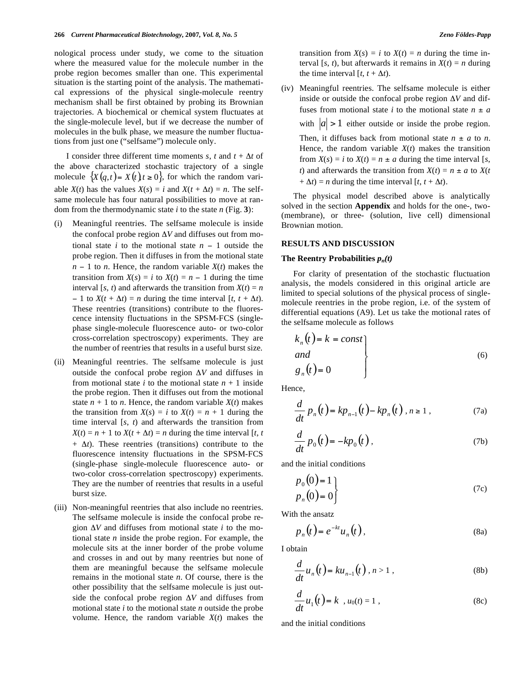nological process under study, we come to the situation where the measured value for the molecule number in the probe region becomes smaller than one. This experimental situation is the starting point of the analysis. The mathematical expressions of the physical single-molecule reentry mechanism shall be first obtained by probing its Brownian trajectories. A biochemical or chemical system fluctuates at the single-molecule level, but if we decrease the number of molecules in the bulk phase, we measure the number fluctuations from just one ("selfsame") molecule only.

I consider three different time moments *s*, *t* and  $t + \Delta t$  of the above characterized stochastic trajectory of a single molecule  $\{X(q,t) = X(t)\}\neq 0$ , for which the random variable *X*(*t*) has the values *X*(*s*) = *i* and *X*(*t* +  $\Delta$ *t*) = *n*. The selfsame molecule has four natural possibilities to move at random from the thermodynamic state  $i$  to the state  $n$  (Fig. 3):

- (i) Meaningful reentries. The selfsame molecule is inside the confocal probe region  $\Delta V$  and diffuses out from motional state  $i$  to the motional state  $n - 1$  outside the probe region. Then it diffuses in from the motional state  $n - 1$  to *n*. Hence, the random variable  $X(t)$  makes the transition from  $X(s) = i$  to  $X(t) = n - 1$  during the time interval [s, t] and afterwards the transition from  $X(t) = n$  $-1$  to  $X(t + \Delta t) = n$  during the time interval  $[t, t + \Delta t)$ . These reentries (transitions) contribute to the fluorescence intensity fluctuations in the SPSM-FCS (singlephase single-molecule fluorescence auto- or two-color cross-correlation spectroscopy) experiments. They are the number of reentries that results in a useful burst size.
- (ii) Meaningful reentries. The selfsame molecule is just outside the confocal probe region  $\Delta V$  and diffuses in from motional state *i* to the motional state  $n + 1$  inside the probe region. Then it diffuses out from the motional state  $n + 1$  to *n*. Hence, the random variable  $X(t)$  makes the transition from  $X(s) = i$  to  $X(t) = n + 1$  during the time interval [*s*, *t*) and afterwards the transition from  $X(t) = n + 1$  to  $X(t + \Delta t) = n$  during the time interval [*t*, *t*  $+ \Delta t$ ). These reentries (transitions) contribute to the fluorescence intensity fluctuations in the SPSM-FCS (single-phase single-molecule fluorescence auto- or two-color cross-correlation spectroscopy) experiments. They are the number of reentries that results in a useful burst size.
- (iii) Non-meaningful reentries that also include no reentries. The selfsame molecule is inside the confocal probe region  $\Delta V$  and diffuses from motional state *i* to the motional state *n* inside the probe region. For example, the molecule sits at the inner border of the probe volume and crosses in and out by many reentries but none of them are meaningful because the selfsame molecule remains in the motional state *n*. Of course, there is the other possibility that the selfsame molecule is just outside the confocal probe region  $\Delta V$  and diffuses from motional state *i* to the motional state *n* outside the probe volume. Hence, the random variable *X*(*t*) makes the

transition from  $X(s) = i$  to  $X(t) = n$  during the time interval [s, t), but afterwards it remains in  $X(t) = n$  during the time interval  $[t, t + \Delta t)$ .

(iv) Meaningful reentries. The selfsame molecule is either inside or outside the confocal probe region  $\Delta V$  and diffuses from motional state *i* to the motional state  $n \pm a$ with  $|a| > 1$  either outside or inside the probe region. Then, it diffuses back from motional state  $n \pm a$  to *n*. Hence, the random variable *X*(*t*) makes the transition from  $X(s) = i$  to  $X(t) = n \pm a$  during the time interval [*s*, *t*) and afterwards the transition from  $X(t) = n \pm a$  to  $X(t)$  $+ \Delta t$ ) = *n* during the time interval [*t*, *t* +  $\Delta t$ ).

 The physical model described above is analytically solved in the section **Appendix** and holds for the one-, two- (membrane), or three- (solution, live cell) dimensional Brownian motion.

#### **RESULTS AND DISCUSSION**

#### The Reentry Probabilities  $p_n(t)$

 For clarity of presentation of the stochastic fluctuation analysis, the models considered in this original article are limited to special solutions of the physical process of singlemolecule reentries in the probe region, i.e. of the system of differential equations (A9). Let us take the motional rates of the selfsame molecule as follows

$$
k_n(t) = k = const
$$
  
and  

$$
g_n(t) = 0
$$
 (6)

Hence,

$$
\frac{d}{dt} p_n(t) = k p_{n-1}(t) - k p_n(t), n \ge 1,
$$
\n(7a)

$$
\frac{d}{dt}p_0(t) = -kp_0(t),
$$
\n(7b)

and the initial conditions

$$
p_0(0) = 1p_n(0) = 0
$$
 (7c)

With the ansatz

$$
p_n(t) = e^{-kt} u_n(t), \qquad (8a)
$$

I obtain

$$
\frac{d}{dt}u_n(t) = ku_{n-1}(t), n > 1,
$$
\n(8b)

$$
\frac{d}{dt}u_1(t) = k , u_0(t) = 1 , \qquad (8c)
$$

and the initial conditions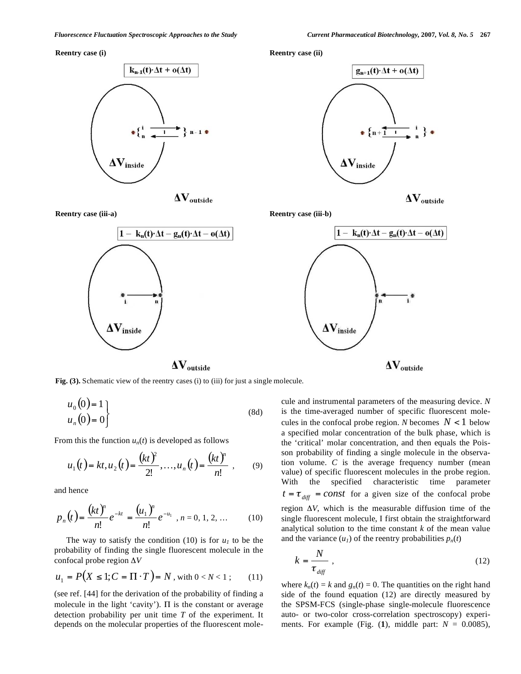





**Reentry case (iii-a)** Reentry case (iii-b)





 $\Delta \rm V_{outside}$ 



 $\Delta \rm V_{outside}$ 

**Fig. (3).** Schematic view of the reentry cases (i) to (iii) for just a single molecule.

$$
u_0(0) = 1 u_n(0) = 0
$$
 (8d)

From this the function  $u_n(t)$  is developed as follows

$$
u_1(t) = kt, u_2(t) = \frac{(kt)^2}{2!}, \dots, u_n(t) = \frac{(kt)^n}{n!}, \qquad (9)
$$

and hence

$$
p_n(t) = \frac{(kt)^n}{n!} e^{-kt} = \frac{(u_1)^n}{n!} e^{-u_1}, n = 0, 1, 2, ... \tag{10}
$$

The way to satisfy the condition (10) is for  $u_1$  to be the probability of finding the single fluorescent molecule in the confocal probe region  $\Delta V$ 

$$
u_1 = P(X \le 1; C = \Pi \cdot T) = N
$$
, with  $0 < N < 1$ ; (11)

(see ref. [44] for the derivation of the probability of finding a molecule in the light 'cavity').  $\Pi$  is the constant or average detection probability per unit time *T* of the experiment. It depends on the molecular properties of the fluorescent molecule and instrumental parameters of the measuring device. *N* is the time-averaged number of specific fluorescent molecules in the confocal probe region. *N* becomes  $N < 1$  below a specified molar concentration of the bulk phase, which is the 'critical' molar concentration, and then equals the Poisson probability of finding a single molecule in the observation volume. *C* is the average frequency number (mean value) of specific fluorescent molecules in the probe region. With the specified characteristic time parameter  $t = \tau_{diff} = const$  for a given size of the confocal probe region  $\Delta V$ , which is the measurable diffusion time of the single fluorescent molecule, I first obtain the straightforward analytical solution to the time constant *k* of the mean value and the variance  $(u_1)$  of the reentry probabilities  $p_n(t)$ 

$$
k = \frac{N}{\tau_{\text{diff}}},\tag{12}
$$

where  $k_n(t) = k$  and  $g_n(t) = 0$ . The quantities on the right hand side of the found equation (12) are directly measured by the SPSM-FCS (single-phase single-molecule fluorescence auto- or two-color cross-correlation spectroscopy) experiments. For example (Fig.  $(1)$ , middle part:  $N = 0.0085$ ),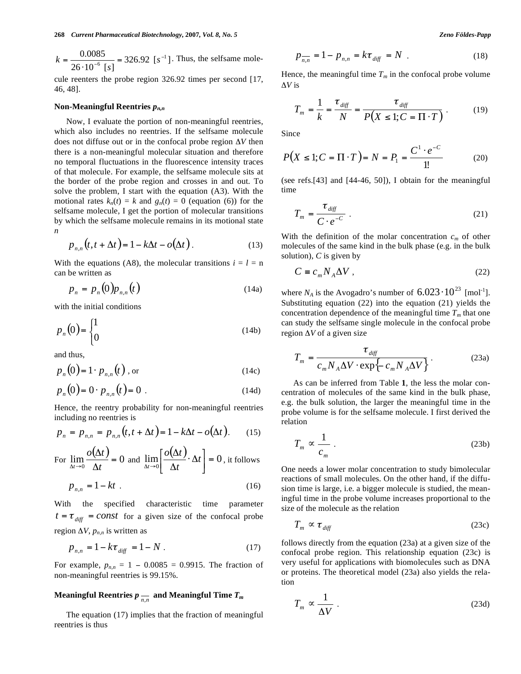$\frac{0.0085}{26 \cdot 10^{-6} \text{ [s]}} = 326.92 \text{ [s}^{-1}]$ 6  $=\frac{0.0065}{26 \cdot 10^{-6}$  [s] = 326.92 [s<sup>-</sup>  $k = \frac{0.0083}{8.00865 \times 10^{-4}} = 326.92$  [s<sup>-1</sup>]. Thus, the selfsame mole-

cule reenters the probe region 326.92 times per second [17, 46, 48].

#### **Non-Meaningful Reentries** *pn,n*

 Now, I evaluate the portion of non-meaningful reentries, which also includes no reentries. If the selfsame molecule does not diffuse out or in the confocal probe region  $\Delta V$  then there is a non-meaningful molecular situation and therefore no temporal fluctuations in the fluorescence intensity traces of that molecule. For example, the selfsame molecule sits at the border of the probe region and crosses in and out. To solve the problem, I start with the equation (A3). With the motional rates  $k_n(t) = k$  and  $g_n(t) = 0$  (equation (6)) for the selfsame molecule, I get the portion of molecular transitions by which the selfsame molecule remains in its motional state *n*

$$
p_{n,n}(t, t + \Delta t) = 1 - k\Delta t - o(\Delta t).
$$
 (13)

With the equations (A8), the molecular transitions  $i = l = n$ can be written as

$$
p_n = p_n(0)p_{n,n}(t)
$$
 (14a)

with the initial conditions

$$
p_n(0) = \begin{cases} 1 & (14b) \\ 0 & \end{cases}
$$

and thus,

$$
p_n(0) = 1 \cdot p_{n,n}(t), \text{ or } \qquad (14c)
$$

$$
p_n(0) = 0 \cdot p_{n,n}(t) = 0 \tag{14d}
$$

Hence, the reentry probability for non-meaningful reentries including no reentries is

$$
p_n = p_{n,n} = p_{n,n}(t, t + \Delta t) = 1 - k\Delta t - o(\Delta t). \tag{15}
$$

For 
$$
\lim_{\Delta t \to 0} \frac{o(\Delta t)}{\Delta t} = 0
$$
 and  $\lim_{\Delta t \to 0} \left[ \frac{o(\Delta t)}{\Delta t} \cdot \Delta t \right] = 0$ , it follows

$$
p_{n,n} = 1 - kt \tag{16}
$$

With the specified characteristic time parameter  $t = \tau_{diff}$  = *const* for a given size of the confocal probe region  $\Delta V$ ,  $p_{n,n}$  is written as

$$
p_{n,n} = 1 - k\tau_{\text{diff}} = 1 - N \tag{17}
$$

For example,  $p_{n,n} = 1 - 0.0085 = 0.9915$ . The fraction of non-meaningful reentries is 99.15%.

# **Meaningful Reentries**  $p \frac{1}{n}$  **and Meaningful Time**  $T_m$

 The equation (17) implies that the fraction of meaningful reentries is thus

$$
p_{\overline{n,n}} = 1 - p_{n,n} = k \tau_{\text{diff}} = N \tag{18}
$$

Hence, the meaningful time  $T_m$  in the confocal probe volume  $\Delta V$  is

$$
T_m = \frac{1}{k} = \frac{\tau_{\text{diff}}}{N} = \frac{\tau_{\text{diff}}}{P(X \le 1; C = \Pi \cdot T)}.
$$
 (19)

Since

$$
P(X \le 1; C = \Pi \cdot T) = N = P_1 = \frac{C^1 \cdot e^{-C}}{1!}
$$
 (20)

(see refs.[43] and [44-46, 50]), I obtain for the meaningful time

$$
T_m = \frac{\tau_{diff}}{C \cdot e^{-C}} \tag{21}
$$

With the definition of the molar concentration  $c_m$  of other molecules of the same kind in the bulk phase (e.g. in the bulk solution), *C* is given by

$$
C \equiv c_m N_A \Delta V \; , \eqno{(22)}
$$

where  $N_A$  is the Avogadro's number of  $6.023 \cdot 10^{23}$  [mol<sup>-1</sup>]. Substituting equation (22) into the equation (21) yields the concentration dependence of the meaningful time  $T_m$  that one can study the selfsame single molecule in the confocal probe region  $\Delta V$  of a given size

$$
T_m = \frac{\tau_{\text{diff}}}{c_m N_A \Delta V \cdot \exp\{-c_m N_A \Delta V\}}.
$$
 (23a)

 As can be inferred from Table **1**, the less the molar concentration of molecules of the same kind in the bulk phase, e.g. the bulk solution, the larger the meaningful time in the probe volume is for the selfsame molecule. I first derived the relation

$$
T_m \propto \frac{1}{c_m} \ . \tag{23b}
$$

One needs a lower molar concentration to study bimolecular reactions of small molecules. On the other hand, if the diffusion time is large, i.e. a bigger molecule is studied, the meaningful time in the probe volume increases proportional to the size of the molecule as the relation

$$
T_m \propto \tau_{\text{diff}} \tag{23c}
$$

follows directly from the equation (23a) at a given size of the confocal probe region. This relationship equation (23c) is very useful for applications with biomolecules such as DNA or proteins. The theoretical model (23a) also yields the relation

$$
T_m \propto \frac{1}{\Delta V} \ . \tag{23d}
$$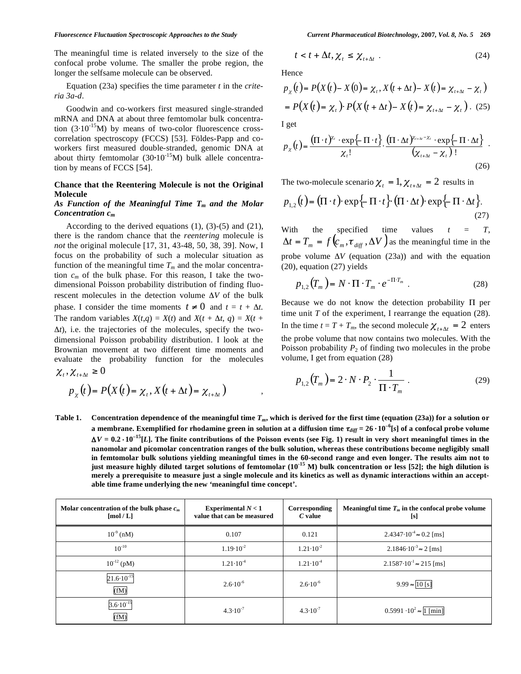#### *Fluorescence Fluctuation Spectroscopic Approaches to the Study Current Pharmaceutical Biotechnology,* **2007***, Vol. 8, No. 5* **269**

The meaningful time is related inversely to the size of the confocal probe volume. The smaller the probe region, the longer the selfsame molecule can be observed.

 Equation (23a) specifies the time parameter *t* in the *criteria 3a-d*.

 Goodwin and co-workers first measured single-stranded mRNA and DNA at about three femtomolar bulk concentration  $(3.10^{-15}M)$  by means of two-color fluorescence crosscorrelation spectroscopy (FCCS) [53]. Földes-Papp and coworkers first measured double-stranded, genomic DNA at about thirty femtomolar (30**·**10-15M) bulk allele concentration by means of FCCS [54].

### **Chance that the Reentering Molecule is not the Original Molecule**

#### As Function of the Meaningful Time T<sub>m</sub> and the Molar *Concentration cm*

 According to the derived equations (1), (3)-(5) and (21), there is the random chance that the *reentering* molecule is *not* the original molecule [17, 31, 43-48, 50, 38, 39]. Now, I focus on the probability of such a molecular situation as function of the meaningful time  $T_m$  and the molar concentration *cm* of the bulk phase. For this reason, I take the twodimensional Poisson probability distribution of finding fluorescent molecules in the detection volume  $\Delta V$  of the bulk phase. I consider the time moments  $t \neq 0$  and  $t = t + \Delta t$ . The random variables  $X(t,q) = X(t)$  and  $X(t + \Delta t, q) = X(t +$  $\Delta t$ ), i.e. the trajectories of the molecules, specify the twodimensional Poisson probability distribution. I look at the Brownian movement at two different time moments and evaluate the probability function for the molecules  $\chi_t, \chi_{t+\Delta t} \geq 0$ 

$$
p_{\chi}(t) = P(X(t) = \chi_{t}, X(t + \Delta t) = \chi_{t + \Delta t})
$$

$$
t < t + \Delta t, \chi_t \le \chi_{t + \Delta t} \tag{24}
$$

Hence

$$
p_{\chi}(t) = P(X(t) - X(0) = \chi_{t}, X(t + \Delta t) - X(t) = \chi_{t + \Delta t} - \chi_{t})
$$
  
=  $P(X(t) = \chi_{t}) \cdot P(X(t + \Delta t) - X(t) = \chi_{t + \Delta t} - \chi_{t})$ . (25)

I get

$$
p_{\chi}(t) = \frac{(\Pi \cdot t)^{\chi_{t}} \cdot \exp\{-\Pi \cdot t\}}{\chi_{t}!} \cdot \frac{(\Pi \cdot \Delta t)^{\chi_{t+\Delta t} - \chi_{t}} \cdot \exp\{-\Pi \cdot \Delta t\}}{(\chi_{t+\Delta t} - \chi_{t})!} \tag{26}
$$

The two-molecule scenario  $\chi_t = 1$ ,  $\chi_{t+\Delta t} = 2$  results in

$$
p_{1,2}(t) = (\Pi \cdot t) \cdot \exp\{-\Pi \cdot t\} \cdot (\Pi \cdot \Delta t) \cdot \exp\{-\Pi \cdot \Delta t\}.
$$
\n(27)

With the specified time values  $t = T$ ,  $\Delta t = T_m = f\left( c_m^{\dagger}, \tau_{\text{diff}}, \Delta V \right)$  as the meaningful time in the probe volume  $\Delta V$  (equation (23a)) and with the equation (20), equation (27) yields

$$
p_{1,2}\left(T_m\right) = N \cdot \Pi \cdot T_m \cdot e^{-\Pi \cdot T_m} \tag{28}
$$

Because we do not know the detection probability  $\Pi$  per time unit *T* of the experiment, I rearrange the equation (28). In the time  $t = T + T_m$ , the second molecule  $\chi_{t + \Delta t} = 2$  enters the probe volume that now contains two molecules. With the Poisson probability  $P_2$  of finding two molecules in the probe volume, I get from equation (28)

$$
p_{1,2}\left(T_m\right) = 2 \cdot N \cdot P_2 \cdot \frac{1}{\Pi \cdot T_m} \tag{29}
$$

**Table 1. Concentration dependence of the meaningful time** *Tm***, which is derived for the first time (equation (23a)) for a solution or a** membrane. Exemplified for rhodamine green in solution at a diffusion time  $\tau_{diff} = 26 \cdot 10^{-6}$ [s] of a confocal probe volume  $\Delta V = 0.2 \cdot 10^{-15} [L]$ . The finite contributions of the Poisson events (see Fig. 1) result in very short meaningful times in the **nanomolar and picomolar concentration ranges of the bulk solution, whereas these contributions become negligibly small in femtomolar bulk solutions yielding meaningful times in the 60-second range and even longer. The results aim not to just measure highly diluted target solutions of femtomolar (10-15 M) bulk concentration or less [52]; the high dilution is merely a prerequisite to measure just a single molecule and its kinetics as well as dynamic interactions within an acceptable time frame underlying the new 'meaningful time concept'.** 

| Molar concentration of the bulk phase $c_m$<br>$\lceil \text{mol}/\text{L} \rceil$ | Experimental $N < 1$<br>value that can be measured | Corresponding<br>$C$ value | Meaningful time $T_m$ in the confocal probe volume<br>[s] |
|------------------------------------------------------------------------------------|----------------------------------------------------|----------------------------|-----------------------------------------------------------|
| $10^{-9}$ (nM)                                                                     | 0.107                                              | 0.121                      | $2.4347 \cdot 10^{-4} \approx 0.2$ [ms]                   |
| $10^{-10}$                                                                         | $1.19 \cdot 10^{-2}$                               | $1.21 \cdot 10^{-2}$       | $2.1846 \cdot 10^{-3} \approx 2$ [ms]                     |
| $10^{-12}$ (pM)                                                                    | $1.21 \cdot 10^{-4}$                               | $1.21 \cdot 10^{-4}$       | $2.1587 \cdot 10^{-1} \approx 215$ [ms]                   |
| $21.6 \cdot 10^{-15}$<br>(fM)                                                      | $2.6 \cdot 10^{-6}$                                | $2.6 \cdot 10^{-6}$        | $9.99 \approx 10$ [s]                                     |
| $3.6 \cdot 10^{-15}$<br>(fM)                                                       | $4.3 \cdot 10^{-7}$                                | $4.3 \cdot 10^{-7}$        | $0.5991 \cdot 10^2 \approx  1 \text{ [min]}$              |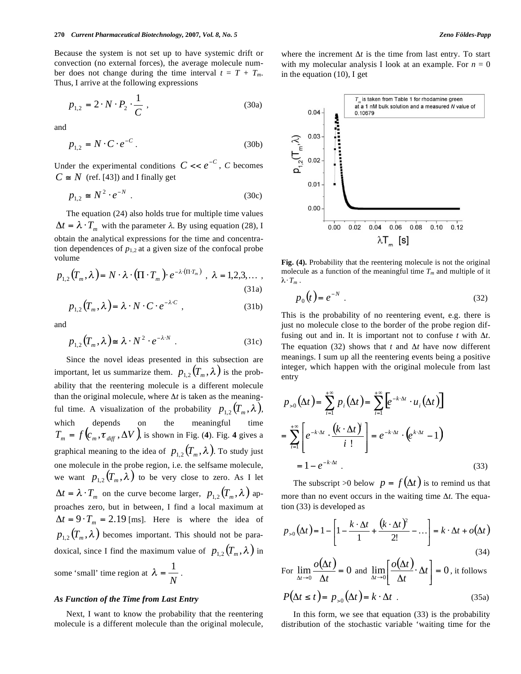Because the system is not set up to have systemic drift or convection (no external forces), the average molecule number does not change during the time interval  $t = T + T_m$ . Thus, I arrive at the following expressions

$$
p_{1,2} = 2 \cdot N \cdot P_2 \cdot \frac{1}{C} , \qquad (30a)
$$

and

$$
p_{1,2} = N \cdot C \cdot e^{-C} \tag{30b}
$$

Under the experimental conditions  $C \ll e^{-C}$ , *C* becomes  $C \cong N$  (ref. [43]) and I finally get

$$
p_{1,2} \cong N^2 \cdot e^{-N} \tag{30c}
$$

 The equation (24) also holds true for multiple time values  $\Delta t = \lambda \cdot T_m$  with the parameter  $\lambda$ . By using equation (28), I obtain the analytical expressions for the time and concentration dependences of  $p_{1,2}$  at a given size of the confocal probe volume

$$
p_{1,2}(T_m, \lambda) = N \cdot \lambda \cdot (\Pi \cdot T_m) \cdot e^{-\lambda \cdot (\Pi \cdot T_m)}, \lambda = 1, 2, 3, \dots,
$$
\n(31a)

$$
p_{1,2}(T_m, \lambda) = \lambda \cdot N \cdot C \cdot e^{-\lambda \cdot C}, \qquad (31b)
$$

and

$$
p_{1,2}(T_m, \lambda) \cong \lambda \cdot N^2 \cdot e^{-\lambda \cdot N} \tag{31c}
$$

 Since the novel ideas presented in this subsection are important, let us summarize them.  $p_{1,2} (T_m, \lambda)$  is the probability that the reentering molecule is a different molecule than the original molecule, where  $\Delta t$  is taken as the meaningful time. A visualization of the probability  $p_1, (T_m, \lambda)$ , which depends on the meaningful time  $T_m = f\left(c_m, \tau_{\text{diff}}, \Delta V\right)$ , is shown in Fig. (4). Fig. 4 gives a graphical meaning to the idea of  $p_1$ ,  $(T_m, \lambda)$ . To study just one molecule in the probe region, i.e. the selfsame molecule, we want  $p_{1,2}(T_m, \lambda)$  to be very close to zero. As I let  $\Delta t = \lambda \cdot T_m$  on the curve become larger,  $p_{1,2} (T_m, \lambda)$  approaches zero, but in between, I find a local maximum at  $\Delta t = 9 \cdot T_m = 2.19$  [ms]. Here is where the idea of  $p_{1,2}(T_m, \lambda)$  becomes important. This should not be paradoxical, since I find the maximum value of  $p_{1,2} (T_m, \lambda)$  in

some 'small' time region at  $\lambda = \frac{-\pi}{N}$  $\lambda = \frac{1}{N}$ .

#### *As Function of the Time from Last Entry*

 Next, I want to know the probability that the reentering molecule is a different molecule than the original molecule,

where the increment  $\Delta t$  is the time from last entry. To start with my molecular analysis I look at an example. For  $n = 0$ in the equation (10), I get



**Fig. (4).** Probability that the reentering molecule is not the original molecule as a function of the meaningful time  $T_m$  and multiple of it  $\lambda \cdot T_m$  .

$$
p_0(t) = e^{-N} \tag{32}
$$

This is the probability of no reentering event, e.g. there is just no molecule close to the border of the probe region diffusing out and in. It is important not to confuse  $t$  with  $\Delta t$ . The equation (32) shows that  $t$  and  $\Delta t$  have now different meanings. I sum up all the reentering events being a positive integer, which happen with the original molecule from last entry

$$
p_{>0}(\Delta t) = \sum_{i=1}^{+\infty} p_i(\Delta t) = \sum_{i=1}^{+\infty} \left[ e^{-k \cdot \Delta t} \cdot u_i(\Delta t) \right]
$$

$$
= \sum_{i=1}^{+\infty} \left[ e^{-k \cdot \Delta t} \cdot \frac{\left(k \cdot \Delta t\right)^i}{i!} \right] = e^{-k \cdot \Delta t} \cdot \left( e^{k \cdot \Delta t} - 1 \right)
$$

$$
= 1 - e^{-k \cdot \Delta t} . \tag{33}
$$

The subscript  $>0$  below  $p = f(\Delta t)$  is to remind us that more than no event occurs in the waiting time  $\Delta t$ . The equation (33) is developed as

$$
p_{>0}(\Delta t) = 1 - \left[1 - \frac{k \cdot \Delta t}{1} + \frac{(k \cdot \Delta t)^2}{2!} - \dots\right] = k \cdot \Delta t + o(\Delta t)
$$
\n(34)

For 
$$
\lim_{\Delta t \to 0} \frac{o(\Delta t)}{\Delta t} = 0
$$
 and  $\lim_{\Delta t \to 0} \left[ \frac{o(\Delta t)}{\Delta t} \cdot \Delta t \right] = 0$ , it follows

$$
P(\Delta t \le t) = p_{>0}(\Delta t) = k \cdot \Delta t \tag{35a}
$$

 In this form, we see that equation (33) is the probability distribution of the stochastic variable 'waiting time for the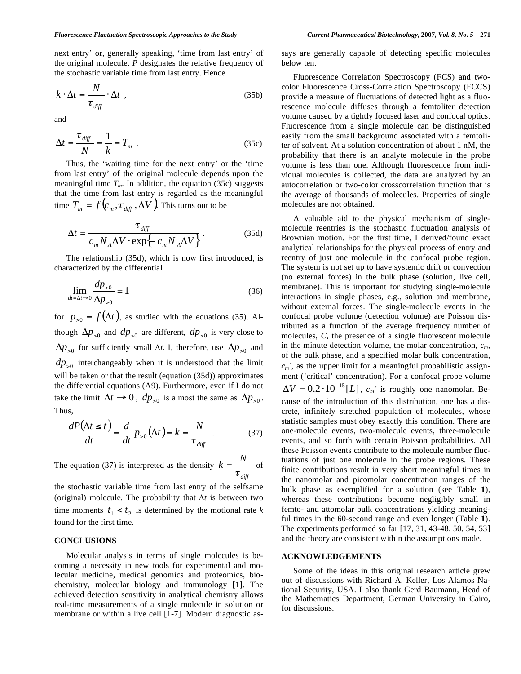next entry' or, generally speaking, 'time from last entry' of the original molecule. *P* designates the relative frequency of the stochastic variable time from last entry. Hence

$$
k \cdot \Delta t = \frac{N}{\tau_{\text{diff}}} \cdot \Delta t \tag{35b}
$$

and

$$
\Delta t = \frac{\tau_{\text{diff}}}{N} = \frac{1}{k} = T_m \tag{35c}
$$

 Thus, the 'waiting time for the next entry' or the 'time from last entry' of the original molecule depends upon the meaningful time  $T_m$ . In addition, the equation (35c) suggests that the time from last entry is regarded as the meaningful time  $T_m = f\left( c_m, \tau_{\text{diff}}, \Delta V \right)$ . This turns out to be

$$
\Delta t = \frac{\tau_{\text{diff}}}{c_m N_A \Delta V \cdot \exp\{-c_m N_A \Delta V\}}.
$$
 (35d)

 The relationship (35d), which is now first introduced, is characterized by the differential

$$
\lim_{dt = \Delta t \to 0} \frac{dp_{>0}}{\Delta p_{>0}} = 1
$$
\n(36)

for  $p_{>0} = f(\Delta t)$ , as studied with the equations (35). Although  $\Delta p_{>0}$  and  $dp_{>0}$  are different,  $dp_{>0}$  is very close to  $\Delta p_{>0}$  for sufficiently small  $\Delta t$ . I, therefore, use  $\Delta p_{>0}$  and  $dp_{>0}$  interchangeably when it is understood that the limit will be taken or that the result (equation (35d)) approximates the differential equations (A9). Furthermore, even if I do not take the limit  $\Delta t \rightarrow 0$ ,  $dp_{>0}$  is almost the same as  $\Delta p_{>0}$ . Thus,

$$
\frac{dP(\Delta t \le t)}{dt} = \frac{d}{dt} p_{>0} (\Delta t) = k = \frac{N}{\tau_{\text{diff}}} \ . \tag{37}
$$

The equation (37) is interpreted as the density *diff*  $k = \frac{N}{\tau_{xx}}$  of

the stochastic variable time from last entry of the selfsame (original) molecule. The probability that  $\Delta t$  is between two time moments  $t_1 < t_2$  is determined by the motional rate *k* found for the first time.

#### **CONCLUSIONS**

 Molecular analysis in terms of single molecules is becoming a necessity in new tools for experimental and molecular medicine, medical genomics and proteomics, biochemistry, molecular biology and immunology [1]. The achieved detection sensitivity in analytical chemistry allows real-time measurements of a single molecule in solution or membrane or within a live cell [1-7]. Modern diagnostic assays are generally capable of detecting specific molecules below ten.

 Fluorescence Correlation Spectroscopy (FCS) and twocolor Fluorescence Cross-Correlation Spectroscopy (FCCS) provide a measure of fluctuations of detected light as a fluorescence molecule diffuses through a femtoliter detection volume caused by a tightly focused laser and confocal optics. Fluorescence from a single molecule can be distinguished easily from the small background associated with a femtoliter of solvent. At a solution concentration of about 1 nM, the probability that there is an analyte molecule in the probe volume is less than one. Although fluorescence from individual molecules is collected, the data are analyzed by an autocorrelation or two-color crosscorrelation function that is the average of thousands of molecules. Properties of single molecules are not obtained.

 A valuable aid to the physical mechanism of singlemolecule reentries is the stochastic fluctuation analysis of Brownian motion. For the first time, I derived/found exact analytical relationships for the physical process of entry and reentry of just one molecule in the confocal probe region. The system is not set up to have systemic drift or convection (no external forces) in the bulk phase (solution, live cell, membrane). This is important for studying single-molecule interactions in single phases, e.g., solution and membrane, without external forces. The single-molecule events in the confocal probe volume (detection volume) are Poisson distributed as a function of the average frequency number of molecules, *C*, the presence of a single fluorescent molecule in the minute detection volume, the molar concentration,  $c_m$ , of the bulk phase, and a specified molar bulk concentration,  $c_m^*$ , as the upper limit for a meaningful probabilistic assignment ('critical' concentration). For a confocal probe volume  $\Delta V = 0.2 \cdot 10^{-15} [L]$ ,  $c_m^*$  is roughly one nanomolar. Because of the introduction of this distribution, one has a discrete, infinitely stretched population of molecules, whose statistic samples must obey exactly this condition. There are one-molecule events, two-molecule events, three-molecule events, and so forth with certain Poisson probabilities. All these Poisson events contribute to the molecule number fluctuations of just one molecule in the probe regions. These finite contributions result in very short meaningful times in the nanomolar and picomolar concentration ranges of the bulk phase as exemplified for a solution (see Table **1**), whereas these contributions become negligibly small in femto- and attomolar bulk concentrations yielding meaningful times in the 60-second range and even longer (Table **1**). The experiments performed so far [17, 31, 43-48, 50, 54, 53] and the theory are consistent within the assumptions made.

#### **ACKNOWLEDGEMENTS**

 Some of the ideas in this original research article grew out of discussions with Richard A. Keller, Los Alamos National Security, USA. I also thank Gerd Baumann, Head of the Mathematics Department, German University in Cairo, for discussions.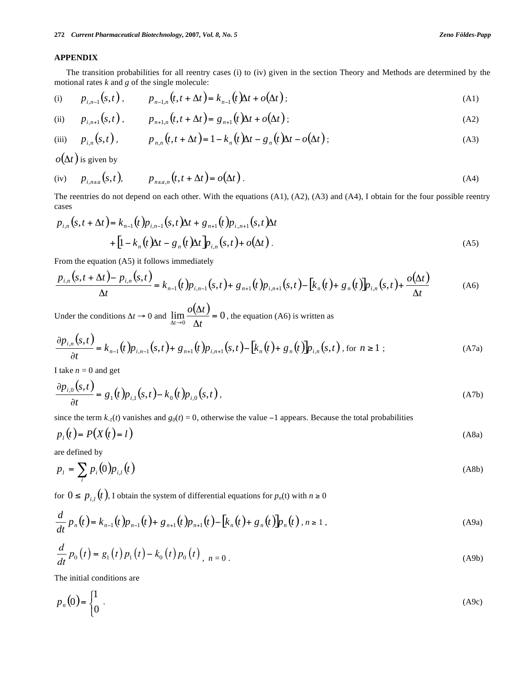#### **APPENDIX**

 The transition probabilities for all reentry cases (i) to (iv) given in the section Theory and Methods are determined by the motional rates *k* and *g* of the single molecule:

(i) 
$$
p_{i,n-1}(s,t)
$$
,  $p_{n-1,n}(t,t+\Delta t) = k_{n-1}(t)\Delta t + o(\Delta t)$ ;  
(A1)

(ii) 
$$
p_{i,n+1}(s,t)
$$
,  $p_{n+1,n}(t,t+\Delta t) = g_{n+1}(t)\Delta t + o(\Delta t)$ ;  
(A2)

(iii) 
$$
p_{i,n}(s,t)
$$
,  $p_{n,n}(t,t+\Delta t) = 1 - k_n(t)\Delta t - g_n(t)\Delta t - o(\Delta t)$  (A3)

 $o(\Delta t)$  is given by

(iv) 
$$
p_{i,n\pm a}(s,t)
$$
,  $p_{n\pm a,n}(t,t+\Delta t) = o(\Delta t)$ . (A4)

The reentries do not depend on each other. With the equations (A1), (A2), (A3) and (A4), I obtain for the four possible reentry cases

$$
p_{i,n}(s,t+\Delta t) = k_{n-1}(t)p_{i,n-1}(s,t)\Delta t + g_{n+1}(t)p_{i,n+1}(s,t)\Delta t + [1 - k_n(t)\Delta t - g_n(t)\Delta t]p_{i,n}(s,t) + o(\Delta t).
$$
\n(A5)

From the equation (A5) it follows immediately

$$
\frac{p_{i,n}(s,t+\Delta t)-p_{i,n}(s,t)}{\Delta t}=k_{n-1}(t)p_{i,n-1}(s,t)+g_{n+1}(t)p_{i,n+1}(s,t)-[k_{n}(t)+g_{n}(t)]p_{i,n}(s,t)+\frac{o(\Delta t)}{\Delta t}
$$
(A6)

Under the conditions  $\Delta t \rightarrow 0$  and  $\lim_{t \to 0} \frac{o(\Delta t)}{t} = 0$  $\frac{o(\Delta t)}{\Delta t} =$  $\overline{\Delta t} \rightarrow 0$   $\Delta t$  $o(\Delta t)$  $\lim_{t\to 0} \frac{\partial^2 (t-t)}{\partial t} = 0$ , the equation (A6) is written as

$$
\frac{\partial p_{i,n}(s,t)}{\partial t} = k_{n-1}(t)p_{i,n-1}(s,t) + g_{n+1}(t)p_{i,n+1}(s,t) - [k_n(t) + g_n(t)]p_{i,n}(s,t), \text{ for } n \ge 1 ;
$$
\n(A7a)

I take  $n = 0$  and get

$$
\frac{\partial p_{i,0}(s,t)}{\partial t} = g_1(t)p_{i,1}(s,t) - k_0(t)p_{i,0}(s,t),
$$
\n(A7b)

since the term  $k_1(t)$  vanishes and  $g_0(t) = 0$ , otherwise the value -1 appears. Because the total probabilities

$$
p_l(t) = P(X(t) = l) \tag{A8a}
$$

are defined by

$$
p_i = \sum_i p_i(0) p_{i,l}(t) \tag{A8b}
$$

for  $0 \le p_{i,l}(t)$ , I obtain the system of differential equations for  $p_n(t)$  with  $n \ge 0$ 

$$
\frac{d}{dt} p_n(t) = k_{n-1}(t) p_{n-1}(t) + g_{n+1}(t) p_{n+1}(t) - [k_n(t) + g_n(t)] p_n(t), n \ge 1,
$$
\n(A9a)

$$
\frac{d}{dt}p_0(t) = g_1(t)p_1(t) - k_0(t)p_0(t) , n = 0.
$$
\n(A9b)

The initial conditions are

$$
p_n(0) = \begin{cases} 1 & \text{(A9c)} \\ 0 & \text{(A9c)} \end{cases}
$$